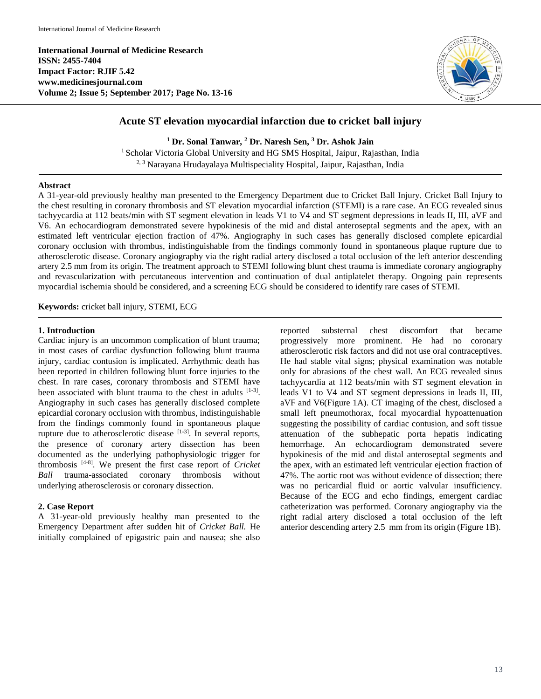**International Journal of Medicine Research ISSN: 2455-7404 Impact Factor: RJIF 5.42 www.medicinesjournal.com Volume 2; Issue 5; September 2017; Page No. 13-16**



# **Acute ST elevation myocardial infarction due to cricket ball injury**

**<sup>1</sup> Dr. Sonal Tanwar, <sup>2</sup> Dr. Naresh Sen, <sup>3</sup> Dr. Ashok Jain** <sup>1</sup> Scholar Victoria Global University and HG SMS Hospital, Jaipur, Rajasthan, India 2, 3 Narayana Hrudayalaya Multispeciality Hospital, Jaipur, Rajasthan, India

#### **Abstract**

A 31-year-old previously healthy man presented to the Emergency Department due to Cricket Ball Injury. Cricket Ball Injury to the chest resulting in coronary thrombosis and ST elevation myocardial infarction (STEMI) is a rare case. An ECG revealed sinus tachyycardia at 112 beats/min with ST segment elevation in leads V1 to V4 and ST segment depressions in leads II, III, aVF and V6. An echocardiogram demonstrated severe hypokinesis of the mid and distal anteroseptal segments and the apex, with an estimated left ventricular ejection fraction of 47%. Angiography in such cases has generally disclosed complete epicardial coronary occlusion with thrombus, indistinguishable from the findings commonly found in spontaneous plaque rupture due to atherosclerotic disease. Coronary angiography via the right radial artery disclosed a total occlusion of the left anterior descending artery 2.5 mm from its origin. The treatment approach to STEMI following blunt chest trauma is immediate coronary angiography and revascularization with percutaneous intervention and continuation of dual antiplatelet therapy. Ongoing pain represents myocardial ischemia should be considered, and a screening ECG should be considered to identify rare cases of STEMI.

**Keywords:** cricket ball injury, STEMI, ECG

#### **1. Introduction**

Cardiac injury is an uncommon complication of blunt trauma; in most cases of cardiac dysfunction following blunt trauma injury, cardiac contusion is implicated. Arrhythmic death has been reported in children following blunt force injuries to the chest. In rare cases, coronary thrombosis and STEMI have been associated with blunt trauma to the chest in adults <sup>[1-3]</sup>. Angiography in such cases has generally disclosed complete epicardial coronary occlusion with thrombus, indistinguishable from the findings commonly found in spontaneous plaque rupture due to atherosclerotic disease  $[1-3]$ . In several reports, the presence of coronary artery dissection has been documented as the underlying pathophysiologic trigger for thrombosis [4-8] . We present the first case report of *Cricket Ball* trauma-associated coronary thrombosis without underlying atherosclerosis or coronary dissection.

## **2. Case Report**

A 31-year-old previously healthy man presented to the Emergency Department after sudden hit of *Cricket Ball.* He initially complained of epigastric pain and nausea; she also

reported substernal chest discomfort that became progressively more prominent. He had no coronary atherosclerotic risk factors and did not use oral contraceptives. He had stable vital signs; physical examination was notable only for abrasions of the chest wall. An ECG revealed sinus tachyycardia at 112 beats/min with ST segment elevation in leads V1 to V4 and ST segment depressions in leads II, III, aVF and V6(Figure 1A). CT imaging of the chest, disclosed a small left pneumothorax, focal myocardial hypoattenuation suggesting the possibility of cardiac contusion, and soft tissue attenuation of the subhepatic porta hepatis indicating hemorrhage. An echocardiogram demonstrated severe hypokinesis of the mid and distal anteroseptal segments and the apex, with an estimated left ventricular ejection fraction of 47%. The aortic root was without evidence of dissection; there was no pericardial fluid or aortic valvular insufficiency. Because of the ECG and echo findings, emergent cardiac catheterization was performed. Coronary angiography via the right radial artery disclosed a total occlusion of the left anterior descending artery 2.5 mm from its origin (Figure 1B).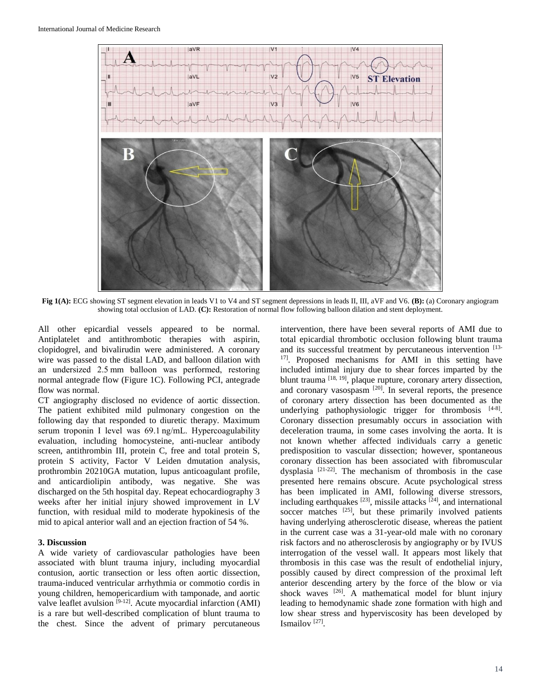

**Fig 1(A):** ECG showing ST segment elevation in leads V1 to V4 and ST segment depressions in leads II, III, aVF and V6. **(B):** (a) Coronary angiogram showing total occlusion of LAD. **(C):** Restoration of normal flow following balloon dilation and stent deployment.

All other epicardial vessels appeared to be normal. Antiplatelet and antithrombotic therapies with aspirin, clopidogrel, and bivalirudin were administered. A coronary wire was passed to the distal LAD, and balloon dilation with an undersized 2.5 mm balloon was performed, restoring normal antegrade flow (Figure 1C). Following PCI, antegrade flow was normal.

CT angiography disclosed no evidence of aortic dissection. The patient exhibited mild pulmonary congestion on the following day that responded to diuretic therapy. Maximum serum troponin I level was 69.1 ng/mL. Hypercoagulability evaluation, including homocysteine, anti-nuclear antibody screen, antithrombin III, protein C, free and total protein S, protein S activity, Factor V Leiden dmutation analysis, prothrombin 20210GA mutation, lupus anticoagulant profile, and anticardiolipin antibody, was negative. She was discharged on the 5th hospital day. Repeat echocardiography 3 weeks after her initial injury showed improvement in LV function, with residual mild to moderate hypokinesis of the mid to apical anterior wall and an ejection fraction of 54 %.

#### **3. Discussion**

A wide variety of cardiovascular pathologies have been associated with blunt trauma injury, including myocardial contusion, aortic transection or less often aortic dissection, trauma-induced ventricular arrhythmia or commotio cordis in young children, hemopericardium with tamponade, and aortic valve leaflet avulsion  $[9-12]$ . Acute myocardial infarction (AMI) is a rare but well-described complication of blunt trauma to the chest. Since the advent of primary percutaneous

intervention, there have been several reports of AMI due to total epicardial thrombotic occlusion following blunt trauma and its successful treatment by percutaneous intervention [13-<sup>17]</sup>. Proposed mechanisms for AMI in this setting have included intimal injury due to shear forces imparted by the blunt trauma  $^{[18, 19]}$ , plaque rupture, coronary artery dissection, and coronary vasospasm [20]. In several reports, the presence of coronary artery dissection has been documented as the underlying pathophysiologic trigger for thrombosis [4-8]. Coronary dissection presumably occurs in association with deceleration trauma, in some cases involving the aorta. It is not known whether affected individuals carry a genetic predisposition to vascular dissection; however, spontaneous coronary dissection has been associated with fibromuscular dysplasia [21-22]. The mechanism of thrombosis in the case presented here remains obscure. Acute psychological stress has been implicated in AMI, following diverse stressors, including earthquakes  $[23]$ , missile attacks  $[24]$ , and international soccer matches  $[25]$ , but these primarily involved patients having underlying atherosclerotic disease, whereas the patient in the current case was a 31-year-old male with no coronary risk factors and no atherosclerosis by angiography or by IVUS interrogation of the vessel wall. It appears most likely that thrombosis in this case was the result of endothelial injury, possibly caused by direct compression of the proximal left anterior descending artery by the force of the blow or via shock waves <sup>[26]</sup>. A mathematical model for blunt injury leading to hemodynamic shade zone formation with high and low shear stress and hyperviscosity has been developed by Ismailov [27] .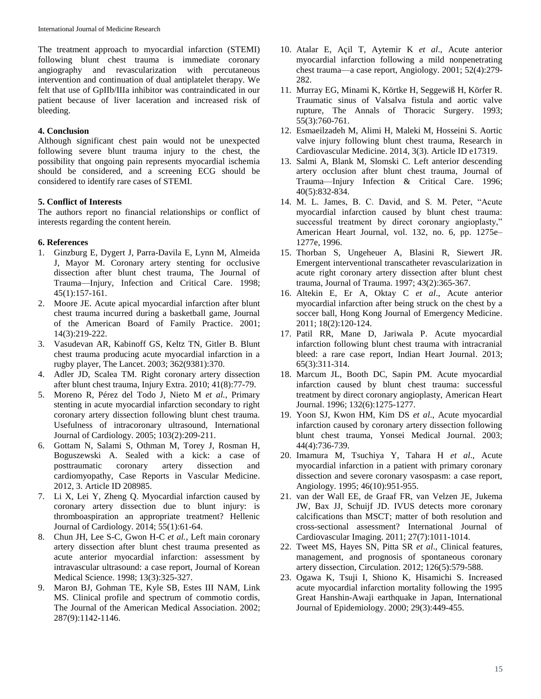The treatment approach to myocardial infarction (STEMI) following blunt chest trauma is immediate coronary angiography and revascularization with percutaneous intervention and continuation of dual antiplatelet therapy. We felt that use of GpIIb/IIIa inhibitor was contraindicated in our patient because of liver laceration and increased risk of bleeding.

## **4. Conclusion**

Although significant chest pain would not be unexpected following severe blunt trauma injury to the chest, the possibility that ongoing pain represents myocardial ischemia should be considered, and a screening ECG should be considered to identify rare cases of STEMI.

## **5. Conflict of Interests**

The authors report no financial relationships or conflict of interests regarding the content herein.

## **6. References**

- 1. Ginzburg E, Dygert J, Parra-Davila E, Lynn M, Almeida J, Mayor M. Coronary artery stenting for occlusive dissection after blunt chest trauma, The Journal of Trauma—Injury, Infection and Critical Care. 1998; 45(1):157-161.
- 2. Moore JE. Acute apical myocardial infarction after blunt chest trauma incurred during a basketball game, Journal of the American Board of Family Practice. 2001; 14(3):219-222.
- 3. Vasudevan AR, Kabinoff GS, Keltz TN, Gitler B. Blunt chest trauma producing acute myocardial infarction in a rugby player, The Lancet. 2003; 362(9381):370.
- 4. Adler JD, Scalea TM. Right coronary artery dissection after blunt chest trauma, Injury Extra. 2010; 41(8):77-79.
- 5. Moreno R, Pérez del Todo J, Nieto M *et al.*, Primary stenting in acute myocardial infarction secondary to right coronary artery dissection following blunt chest trauma. Usefulness of intracoronary ultrasound, International Journal of Cardiology. 2005; 103(2):209-211.
- 6. Gottam N, Salami S, Othman M, Torey J, Rosman H, Boguszewski A. Sealed with a kick: a case of posttraumatic coronary artery dissection and cardiomyopathy, Case Reports in Vascular Medicine. 2012, 3. Article ID 208985.
- 7. Li X, Lei Y, Zheng Q. Myocardial infarction caused by coronary artery dissection due to blunt injury: is thromboaspiration an appropriate treatment? Hellenic Journal of Cardiology. 2014; 55(1):61-64.
- 8. Chun JH, Lee S-C, Gwon H-C *et al.*, Left main coronary artery dissection after blunt chest trauma presented as acute anterior myocardial infarction: assessment by intravascular ultrasound: a case report, Journal of Korean Medical Science. 1998; 13(3):325-327.
- 9. Maron BJ, Gohman TE, Kyle SB, Estes III NAM, Link MS. Clinical profile and spectrum of commotio cordis, The Journal of the American Medical Association. 2002; 287(9):1142-1146.
- 10. Atalar E, Açil T, Aytemir K *et al*., Acute anterior myocardial infarction following a mild nonpenetrating chest trauma—a case report, Angiology. 2001; 52(4):279- 282.
- 11. Murray EG, Minami K, Körtke H, Seggewiß H, Körfer R. Traumatic sinus of Valsalva fistula and aortic valve rupture, The Annals of Thoracic Surgery. 1993; 55(3):760-761.
- 12. Esmaeilzadeh M, Alimi H, Maleki M, Hosseini S. Aortic valve injury following blunt chest trauma, Research in Cardiovascular Medicine. 2014, 3(3). Article ID e17319.
- 13. Salmi A, Blank M, Slomski C. Left anterior descending artery occlusion after blunt chest trauma, Journal of Trauma—Injury Infection & Critical Care. 1996; 40(5):832-834.
- 14. M. L. James, B. C. David, and S. M. Peter, "Acute myocardial infarction caused by blunt chest trauma: successful treatment by direct coronary angioplasty," American Heart Journal, vol. 132, no. 6, pp. 1275e– 1277e, 1996.
- 15. Thorban S, Ungeheuer A, Blasini R, Siewert JR. Emergent interventional transcatheter revascularization in acute right coronary artery dissection after blunt chest trauma, Journal of Trauma. 1997; 43(2):365-367.
- 16. Altekin E, Er A, Oktay C *et al*., Acute anterior myocardial infarction after being struck on the chest by a soccer ball, Hong Kong Journal of Emergency Medicine. 2011; 18(2):120-124.
- 17. Patil RR, Mane D, Jariwala P. Acute myocardial infarction following blunt chest trauma with intracranial bleed: a rare case report, Indian Heart Journal. 2013; 65(3):311-314.
- 18. Marcum JL, Booth DC, Sapin PM. Acute myocardial infarction caused by blunt chest trauma: successful treatment by direct coronary angioplasty, American Heart Journal. 1996; 132(6):1275-1277.
- 19. Yoon SJ, Kwon HM, Kim DS *et al*., Acute myocardial infarction caused by coronary artery dissection following blunt chest trauma, Yonsei Medical Journal. 2003; 44(4):736-739.
- 20. Imamura M, Tsuchiya Y, Tahara H *et al*., Acute myocardial infarction in a patient with primary coronary dissection and severe coronary vasospasm: a case report, Angiology. 1995; 46(10):951-955.
- 21. van der Wall EE, de Graaf FR, van Velzen JE, Jukema JW, Bax JJ, Schuijf JD. IVUS detects more coronary calcifications than MSCT; matter of both resolution and cross-sectional assessment? International Journal of Cardiovascular Imaging. 2011; 27(7):1011-1014.
- 22. Tweet MS, Hayes SN, Pitta SR *et al*., Clinical features, management, and prognosis of spontaneous coronary artery dissection, Circulation. 2012; 126(5):579-588.
- 23. Ogawa K, Tsuji I, Shiono K, Hisamichi S. Increased acute myocardial infarction mortality following the 1995 Great Hanshin-Awaji earthquake in Japan, International Journal of Epidemiology. 2000; 29(3):449-455.